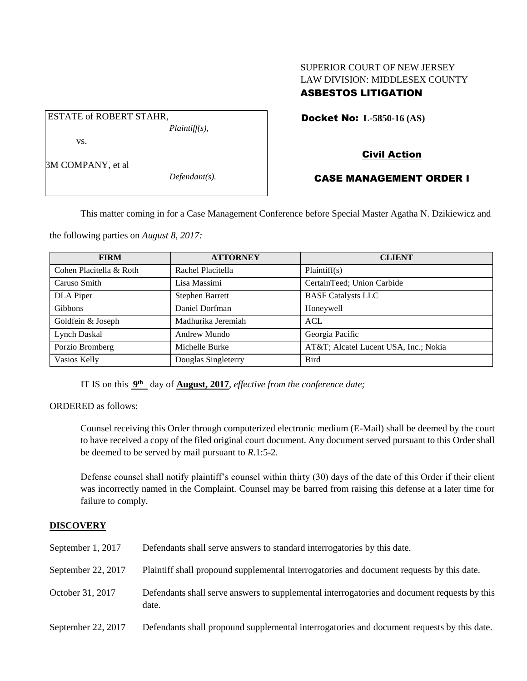## SUPERIOR COURT OF NEW JERSEY LAW DIVISION: MIDDLESEX COUNTY ASBESTOS LITIGATION

Docket No: **L-5850-16 (AS)** 

vs.

ESTATE of ROBERT STAHR,

3M COMPANY, et al

*Defendant(s).*

*Plaintiff(s),*

# Civil Action

## CASE MANAGEMENT ORDER I

This matter coming in for a Case Management Conference before Special Master Agatha N. Dzikiewicz and

the following parties on *August 8, 2017:*

| <b>FIRM</b>             | <b>ATTORNEY</b>        | <b>CLIENT</b>                        |
|-------------------------|------------------------|--------------------------------------|
| Cohen Placitella & Roth | Rachel Placitella      | Plaintiff(s)                         |
| Caruso Smith            | Lisa Massimi           | CertainTeed; Union Carbide           |
| DLA Piper               | <b>Stephen Barrett</b> | <b>BASF Catalysts LLC</b>            |
| Gibbons                 | Daniel Dorfman         | Honeywell                            |
| Goldfein & Joseph       | Madhurika Jeremiah     | <b>ACL</b>                           |
| Lynch Daskal            | Andrew Mundo           | Georgia Pacific                      |
| Porzio Bromberg         | Michelle Burke         | AT&T Alcatel Lucent USA, Inc.; Nokia |
| Vasios Kelly            | Douglas Singleterry    | <b>Bird</b>                          |

IT IS on this  $9<sup>th</sup>$  day of **August, 2017**, *effective from the conference date*;

ORDERED as follows:

Counsel receiving this Order through computerized electronic medium (E-Mail) shall be deemed by the court to have received a copy of the filed original court document. Any document served pursuant to this Order shall be deemed to be served by mail pursuant to *R*.1:5-2.

Defense counsel shall notify plaintiff's counsel within thirty (30) days of the date of this Order if their client was incorrectly named in the Complaint. Counsel may be barred from raising this defense at a later time for failure to comply.

### **DISCOVERY**

| September 1, 2017  | Defendants shall serve answers to standard interrogatories by this date.                              |
|--------------------|-------------------------------------------------------------------------------------------------------|
| September 22, 2017 | Plaintiff shall propound supplemental interrogatories and document requests by this date.             |
| October 31, 2017   | Defendants shall serve answers to supplemental interrogatories and document requests by this<br>date. |
| September 22, 2017 | Defendants shall propound supplemental interrogatories and document requests by this date.            |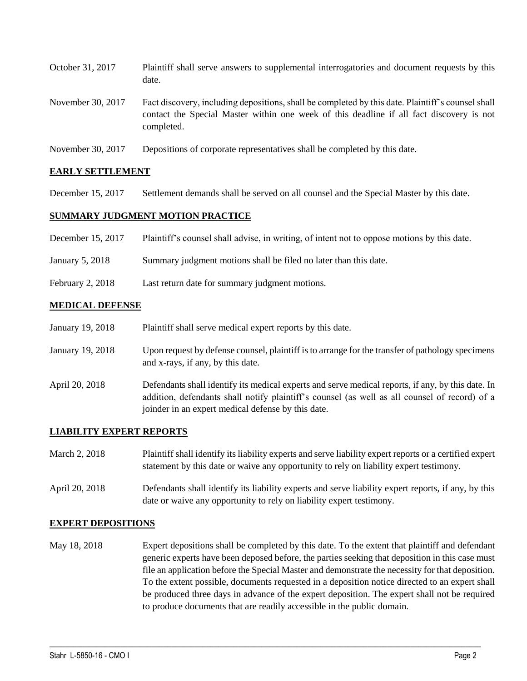| October 31, 2017  | Plaintiff shall serve answers to supplemental interrogatories and document requests by this<br>date.                                                                                                        |
|-------------------|-------------------------------------------------------------------------------------------------------------------------------------------------------------------------------------------------------------|
| November 30, 2017 | Fact discovery, including depositions, shall be completed by this date. Plaintiff's counsel shall<br>contact the Special Master within one week of this deadline if all fact discovery is not<br>completed. |
|                   | $\sim$ $\sim$ $\sim$ $\sim$ $\sim$ $\sim$ $\sim$                                                                                                                                                            |

November 30, 2017 Depositions of corporate representatives shall be completed by this date.

### **EARLY SETTLEMENT**

December 15, 2017 Settlement demands shall be served on all counsel and the Special Master by this date.

### **SUMMARY JUDGMENT MOTION PRACTICE**

| December 15, 2017 |  |  | Plaintiff's counsel shall advise, in writing, of intent not to oppose motions by this date. |
|-------------------|--|--|---------------------------------------------------------------------------------------------|
|-------------------|--|--|---------------------------------------------------------------------------------------------|

- January 5, 2018 Summary judgment motions shall be filed no later than this date.
- February 2, 2018 Last return date for summary judgment motions.

#### **MEDICAL DEFENSE**

| January 19, 2018 | Plaintiff shall serve medical expert reports by this date.                                                                                                                                                                                               |
|------------------|----------------------------------------------------------------------------------------------------------------------------------------------------------------------------------------------------------------------------------------------------------|
| January 19, 2018 | Upon request by defense counsel, plaintiff is to arrange for the transfer of pathology specimens<br>and x-rays, if any, by this date.                                                                                                                    |
| April 20, 2018   | Defendants shall identify its medical experts and serve medical reports, if any, by this date. In<br>addition, defendants shall notify plaintiff's counsel (as well as all counsel of record) of a<br>joinder in an expert medical defense by this date. |

### **LIABILITY EXPERT REPORTS**

| March 2, 2018  | Plaintiff shall identify its liability experts and serve liability expert reports or a certified expert<br>statement by this date or waive any opportunity to rely on liability expert testimony. |
|----------------|---------------------------------------------------------------------------------------------------------------------------------------------------------------------------------------------------|
| April 20, 2018 | Defendants shall identify its liability experts and serve liability expert reports, if any, by this<br>date or waive any opportunity to rely on liability expert testimony.                       |

#### **EXPERT DEPOSITIONS**

May 18, 2018 Expert depositions shall be completed by this date. To the extent that plaintiff and defendant generic experts have been deposed before, the parties seeking that deposition in this case must file an application before the Special Master and demonstrate the necessity for that deposition. To the extent possible, documents requested in a deposition notice directed to an expert shall be produced three days in advance of the expert deposition. The expert shall not be required to produce documents that are readily accessible in the public domain.

 $\_$  ,  $\_$  ,  $\_$  ,  $\_$  ,  $\_$  ,  $\_$  ,  $\_$  ,  $\_$  ,  $\_$  ,  $\_$  ,  $\_$  ,  $\_$  ,  $\_$  ,  $\_$  ,  $\_$  ,  $\_$  ,  $\_$  ,  $\_$  ,  $\_$  ,  $\_$  ,  $\_$  ,  $\_$  ,  $\_$  ,  $\_$  ,  $\_$  ,  $\_$  ,  $\_$  ,  $\_$  ,  $\_$  ,  $\_$  ,  $\_$  ,  $\_$  ,  $\_$  ,  $\_$  ,  $\_$  ,  $\_$  ,  $\_$  ,